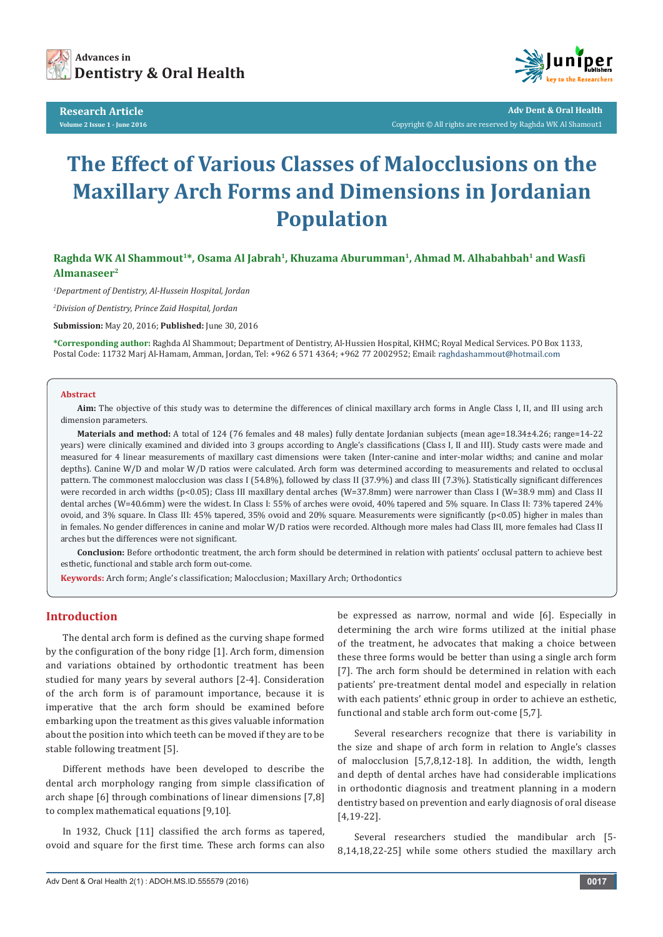

**Research Article Volume 2 Issue 1 - June 2016**



**Adv Dent & Oral Health**  Copyright © All rights are reserved by Raghda WK Al Shamout1

# **The Effect of Various Classes of Malocclusions on the Maxillary Arch Forms and Dimensions in Jordanian Population**

**Raghda WK Al Shammout1\*, Osama Al Jabrah1, Khuzama Aburumman1, Ahmad M. Alhabahbah1 and Wasfi Almanaseer2**

*1 Department of Dentistry, Al-Hussein Hospital, Jordan*

*2 Division of Dentistry, Prince Zaid Hospital, Jordan*

**Submission:** May 20, 2016; **Published:** June 30, 2016

**\*Corresponding author:** Raghda Al Shammout; Department of Dentistry, Al-Hussien Hospital, KHMC; Royal Medical Services. PO Box 1133, Postal Code: 11732 Marj Al-Hamam, Amman, Jordan, Tel: +962 6 571 4364; +962 77 2002952; Email:

#### **Abstract**

**Aim:** The objective of this study was to determine the differences of clinical maxillary arch forms in Angle Class I, II, and III using arch dimension parameters.

**Materials and method:** A total of 124 (76 females and 48 males) fully dentate Jordanian subjects (mean age=18.34±4.26; range=14-22 years) were clinically examined and divided into 3 groups according to Angle's classifications (Class I, II and III). Study casts were made and measured for 4 linear measurements of maxillary cast dimensions were taken (Inter-canine and inter-molar widths; and canine and molar depths). Canine W/D and molar W/D ratios were calculated. Arch form was determined according to measurements and related to occlusal pattern. The commonest malocclusion was class I (54.8%), followed by class II (37.9%) and class III (7.3%). Statistically significant differences were recorded in arch widths (p<0.05); Class III maxillary dental arches (W=37.8mm) were narrower than Class I (W=38.9 mm) and Class II dental arches (W=40.6mm) were the widest. In Class I: 55% of arches were ovoid, 40% tapered and 5% square. In Class II: 73% tapered 24% ovoid, and 3% square. In Class III: 45% tapered, 35% ovoid and 20% square. Measurements were significantly (p<0.05) higher in males than in females. No gender differences in canine and molar W/D ratios were recorded. Although more males had Class III, more females had Class II arches but the differences were not significant.

**Conclusion:** Before orthodontic treatment, the arch form should be determined in relation with patients' occlusal pattern to achieve best esthetic, functional and stable arch form out-come.

**Keywords:** Arch form; Angle's classification; Malocclusion; Maxillary Arch; Orthodontics

# **Introduction**

The dental arch form is defined as the curving shape formed by the configuration of the bony ridge [1]. Arch form, dimension and variations obtained by orthodontic treatment has been studied for many years by several authors [2-4]. Consideration of the arch form is of paramount importance, because it is imperative that the arch form should be examined before embarking upon the treatment as this gives valuable information about the position into which teeth can be moved if they are to be stable following treatment [5].

Different methods have been developed to describe the dental arch morphology ranging from simple classification of arch shape [6] through combinations of linear dimensions [7,8] to complex mathematical equations [9,10].

In 1932, Chuck [11] classified the arch forms as tapered, ovoid and square for the first time. These arch forms can also be expressed as narrow, normal and wide [6]. Especially in determining the arch wire forms utilized at the initial phase of the treatment, he advocates that making a choice between these three forms would be better than using a single arch form [7]. The arch form should be determined in relation with each patients' pre-treatment dental model and especially in relation with each patients' ethnic group in order to achieve an esthetic, functional and stable arch form out-come [5,7].

Several researchers recognize that there is variability in the size and shape of arch form in relation to Angle's classes of malocclusion [5,7,8,12-18]. In addition, the width, length and depth of dental arches have had considerable implications in orthodontic diagnosis and treatment planning in a modern dentistry based on prevention and early diagnosis of oral disease [4,19-22].

Several researchers studied the mandibular arch [5- 8,14,18,22-25] while some others studied the maxillary arch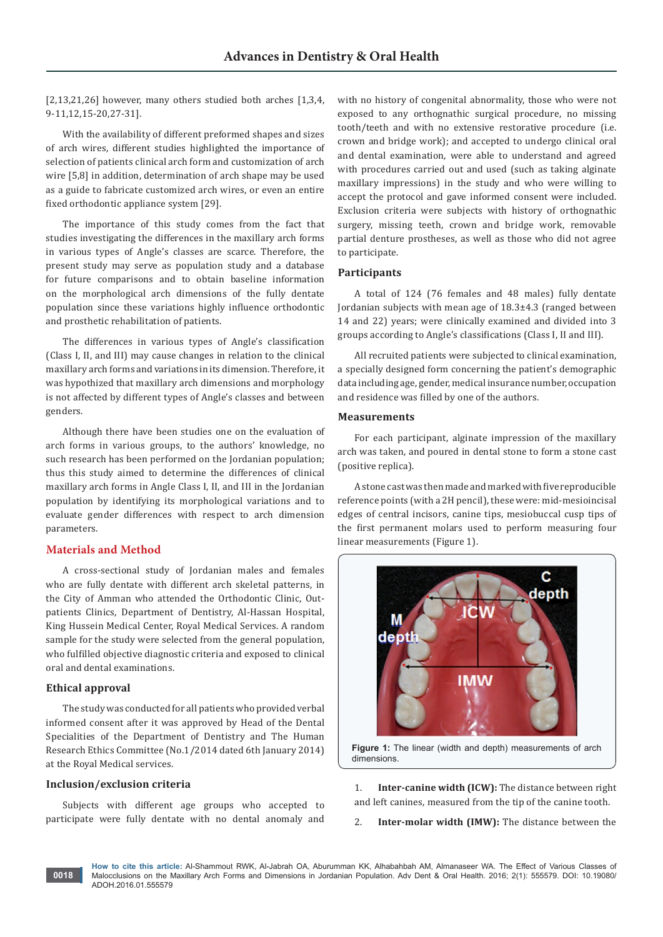[2,13,21,26] however, many others studied both arches [1,3,4,] 9-11,12,15-20,27-31].

With the availability of different preformed shapes and sizes of arch wires, different studies highlighted the importance of selection of patients clinical arch form and customization of arch wire [5,8] in addition, determination of arch shape may be used as a guide to fabricate customized arch wires, or even an entire fixed orthodontic appliance system [29].

The importance of this study comes from the fact that studies investigating the differences in the maxillary arch forms in various types of Angle's classes are scarce. Therefore, the present study may serve as population study and a database for future comparisons and to obtain baseline information on the morphological arch dimensions of the fully dentate population since these variations highly influence orthodontic and prosthetic rehabilitation of patients.

The differences in various types of Angle's classification (Class I, II, and III) may cause changes in relation to the clinical maxillary arch forms and variations in its dimension. Therefore, it was hypothized that maxillary arch dimensions and morphology is not affected by different types of Angle's classes and between genders.

Although there have been studies one on the evaluation of arch forms in various groups, to the authors' knowledge, no such research has been performed on the Jordanian population; thus this study aimed to determine the differences of clinical maxillary arch forms in Angle Class I, II, and III in the Jordanian population by identifying its morphological variations and to evaluate gender differences with respect to arch dimension parameters.

## **Materials and Method**

A cross-sectional study of Jordanian males and females who are fully dentate with different arch skeletal patterns, in the City of Amman who attended the Orthodontic Clinic, Outpatients Clinics, Department of Dentistry, Al-Hassan Hospital, King Hussein Medical Center, Royal Medical Services. A random sample for the study were selected from the general population, who fulfilled objective diagnostic criteria and exposed to clinical oral and dental examinations.

# **Ethical approval**

**0018**

The study was conducted for all patients who provided verbal informed consent after it was approved by Head of the Dental Specialities of the Department of Dentistry and The Human Research Ethics Committee (No.1/2014 dated 6th January 2014) at the Royal Medical services.

# **Inclusion/exclusion criteria**

Subjects with different age groups who accepted to participate were fully dentate with no dental anomaly and with no history of congenital abnormality, those who were not exposed to any orthognathic surgical procedure, no missing tooth/teeth and with no extensive restorative procedure (i.e. crown and bridge work); and accepted to undergo clinical oral and dental examination, were able to understand and agreed with procedures carried out and used (such as taking alginate maxillary impressions) in the study and who were willing to accept the protocol and gave informed consent were included. Exclusion criteria were subjects with history of orthognathic surgery, missing teeth, crown and bridge work, removable partial denture prostheses, as well as those who did not agree to participate.

## **Participants**

A total of 124 (76 females and 48 males) fully dentate Jordanian subjects with mean age of 18.3±4.3 (ranged between 14 and 22) years; were clinically examined and divided into 3 groups according to Angle's classifications (Class I, II and III).

All recruited patients were subjected to clinical examination, a specially designed form concerning the patient's demographic data including age, gender, medical insurance number, occupation and residence was filled by one of the authors.

#### **Measurements**

For each participant, alginate impression of the maxillary arch was taken, and poured in dental stone to form a stone cast (positive replica).

A stone cast was then made and marked with five reproducible reference points (with a 2H pencil), these were: mid-mesioincisal edges of central incisors, canine tips, mesiobuccal cusp tips of the first permanent molars used to perform measuring four linear measurements (Figure 1).



**Figure 1:** The linear (width and depth) measurements of arch dimensions.

1. **Inter-canine width (ICW):** The distance between right and left canines, measured from the tip of the canine tooth.

2. **Inter-molar width (IMW):** The distance between the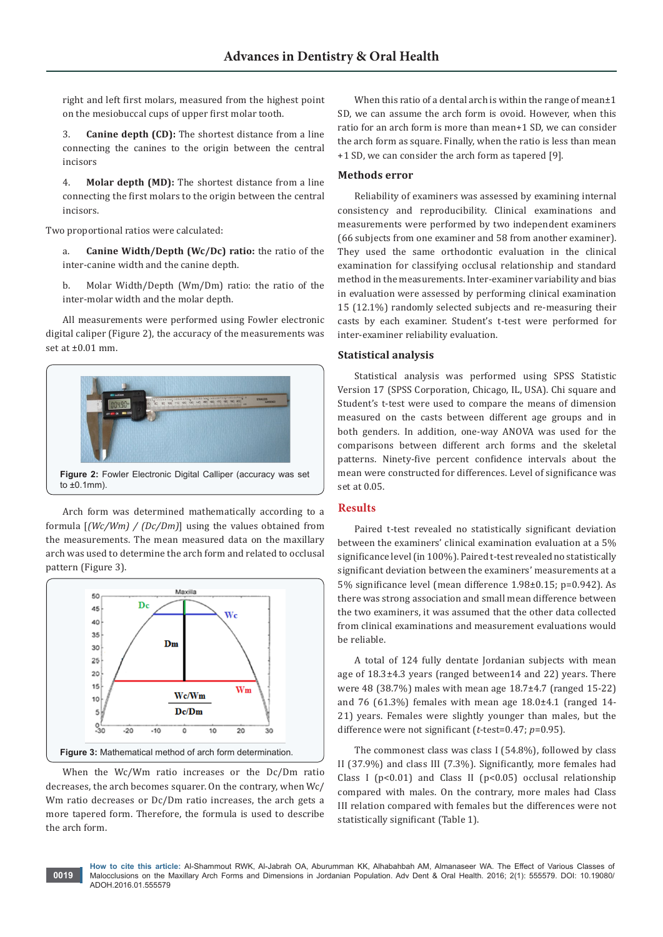right and left first molars, measured from the highest point on the mesiobuccal cups of upper first molar tooth.

3. **Canine depth (CD):** The shortest distance from a line connecting the canines to the origin between the central incisors

4. **Molar depth (MD):** The shortest distance from a line connecting the first molars to the origin between the central incisors.

Two proportional ratios were calculated:

a. **Canine Width/Depth (Wc/Dc) ratio:** the ratio of the inter-canine width and the canine depth.

b. Molar Width/Depth (Wm/Dm) ratio: the ratio of the inter-molar width and the molar depth.

All measurements were performed using Fowler electronic digital caliper (Figure 2), the accuracy of the measurements was set at ±0.01 mm.



Arch form was determined mathematically according to a formula [*(Wc/Wm) / (Dc/Dm)*] using the values obtained from the measurements. The mean measured data on the maxillary arch was used to determine the arch form and related to occlusal pattern (Figure 3).



When the Wc/Wm ratio increases or the Dc/Dm ratio decreases, the arch becomes squarer. On the contrary, when Wc/ Wm ratio decreases or Dc/Dm ratio increases, the arch gets a more tapered form. Therefore, the formula is used to describe the arch form.

When this ratio of a dental arch is within the range of mean $\pm 1$ SD, we can assume the arch form is ovoid. However, when this ratio for an arch form is more than mean+1 SD, we can consider the arch form as square. Finally, when the ratio is less than mean +1 SD, we can consider the arch form as tapered [9].

### **Methods error**

Reliability of examiners was assessed by examining internal consistency and reproducibility. Clinical examinations and measurements were performed by two independent examiners (66 subjects from one examiner and 58 from another examiner). They used the same orthodontic evaluation in the clinical examination for classifying occlusal relationship and standard method in the measurements. Inter-examiner variability and bias in evaluation were assessed by performing clinical examination 15 (12.1%) randomly selected subjects and re-measuring their casts by each examiner. Student's t-test were performed for inter-examiner reliability evaluation.

#### **Statistical analysis**

Statistical analysis was performed using SPSS Statistic Version 17 (SPSS Corporation, Chicago, IL, USA). Chi square and Student's t-test were used to compare the means of dimension measured on the casts between different age groups and in both genders. In addition, one-way ANOVA was used for the comparisons between different arch forms and the skeletal patterns. Ninety-five percent confidence intervals about the mean were constructed for differences. Level of significance was set at 0.05.

#### **Results**

Paired t-test revealed no statistically significant deviation between the examiners' clinical examination evaluation at a 5% significance level (in 100%). Paired t-test revealed no statistically significant deviation between the examiners' measurements at a 5% significance level (mean difference 1.98±0.15; p=0.942). As there was strong association and small mean difference between the two examiners, it was assumed that the other data collected from clinical examinations and measurement evaluations would be reliable.

A total of 124 fully dentate Jordanian subjects with mean age of 18.3±4.3 years (ranged between14 and 22) years. There were 48 (38.7%) males with mean age 18.7±4.7 (ranged 15-22) and 76 (61.3%) females with mean age 18.0±4.1 (ranged 14- 21) years. Females were slightly younger than males, but the difference were not significant (*t*-test=0.47; *p*=0.95).

The commonest class was class I (54.8%), followed by class II (37.9%) and class III (7.3%). Significantly, more females had Class I ( $p$ <0.01) and Class II ( $p$ <0.05) occlusal relationship compared with males. On the contrary, more males had Class III relation compared with females but the differences were not statistically significant (Table 1).

**How to cite this article:** Al-Shammout RWK, Al-Jabrah OA, Aburumman KK, Alhabahbah AM, Almanaseer WA. The Effect of Various Classes of Malocclusions on the Maxillary Arch Forms and Dimensions in Jordanian Population. Adv Dent & Oral Health. 2016; 2(1): 555579. DOI: [10.19080/](http://dx.doi.org/10.19080/ADOH.2016.01.555579
) [ADOH.2016.01.555579](http://dx.doi.org/10.19080/ADOH.2016.01.555579
)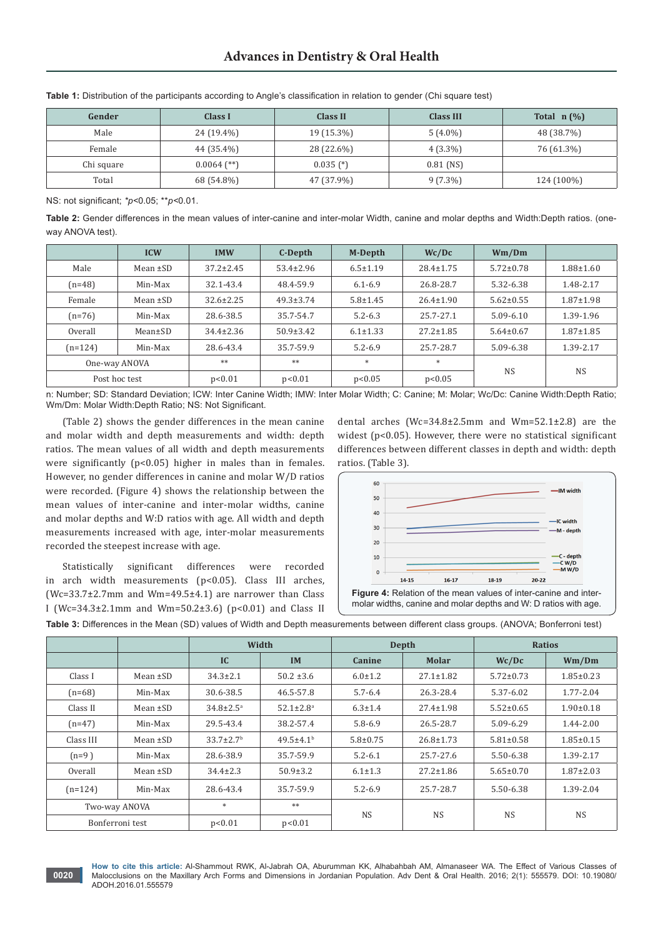| Gender     | Class I       | Class II    | <b>Class III</b> | Total $n(\%)$ |
|------------|---------------|-------------|------------------|---------------|
| Male       | 24 (19.4%)    | 19 (15.3%)  | $5(4.0\%)$       | 48 (38.7%)    |
| Female     | 44 (35.4%)    | 28 (22.6%)  | $4(3.3\%)$       | 76 (61.3%)    |
| Chi square | $0.0064$ (**) | $0.035$ (*) | $0.81$ (NS)      |               |
| Total      | 68 (54.8%)    | 47 (37.9%)  | $9(7.3\%)$       | 124 (100%)    |

**Table 1:** Distribution of the participants according to Angle's classification in relation to gender (Chi square test)

NS: not significant; *\*p<*0.05; \*\**p<*0.01.

**Table 2:** Gender differences in the mean values of inter-canine and inter-molar Width, canine and molar depths and Width:Depth ratios. (oneway ANOVA test).

|               | <b>ICW</b>    | <b>IMW</b>      | C-Depth         | M-Depth        | Wc/Dc           | Wm/Dm           |                 |
|---------------|---------------|-----------------|-----------------|----------------|-----------------|-----------------|-----------------|
| Male          | Mean $\pm SD$ | $37.2 \pm 2.45$ | $53.4 \pm 2.96$ | $6.5 \pm 1.19$ | $28.4 \pm 1.75$ | $5.72 \pm 0.78$ | $1.88 \pm 1.60$ |
| $(n=48)$      | Min-Max       | 32.1-43.4       | 48.4-59.9       | $6.1 - 6.9$    | 26.8-28.7       | 5.32-6.38       | 1.48-2.17       |
| Female        | Mean $\pm SD$ | $32.6 \pm 2.25$ | $49.3 \pm 3.74$ | $5.8 \pm 1.45$ | $26.4 \pm 1.90$ | $5.62 \pm 0.55$ | $1.87 \pm 1.98$ |
| $(n=76)$      | Min-Max       | 28.6-38.5       | 35.7-54.7       | $5.2 - 6.3$    | 25.7-27.1       | $5.09 - 6.10$   | 1.39-1.96       |
| Overall       | Mean±SD       | $34.4 \pm 2.36$ | $50.9 \pm 3.42$ | $6.1 \pm 1.33$ | $27.2 \pm 1.85$ | $5.64 \pm 0.67$ | $1.87 \pm 1.85$ |
| $(n=124)$     | Min-Max       | 28.6-43.4       | 35.7-59.9       | $5.2 - 6.9$    | 25.7-28.7       | 5.09-6.38       | 1.39-2.17       |
|               | One-way ANOVA | **              | **              | $\ast$         | $*$             |                 |                 |
| Post hoc test |               | p<0.01          | p<0.01          | p<0.05         | p<0.05          | <b>NS</b>       | <b>NS</b>       |

n: Number; SD: Standard Deviation; ICW: Inter Canine Width; IMW: Inter Molar Width; C: Canine; M: Molar; Wc/Dc: Canine Width:Depth Ratio; Wm/Dm: Molar Width:Depth Ratio; NS: Not Significant.

(Table 2) shows the gender differences in the mean canine and molar width and depth measurements and width: depth ratios. The mean values of all width and depth measurements were significantly (p<0.05) higher in males than in females. However, no gender differences in canine and molar W/D ratios were recorded. (Figure 4) shows the relationship between the mean values of inter-canine and inter-molar widths, canine and molar depths and W:D ratios with age. All width and depth measurements increased with age, inter-molar measurements recorded the steepest increase with age.

Statistically significant differences were recorded in arch width measurements (p<0.05). Class III arches, (Wc=33.7±2.7mm and Wm=49.5±4.1) are narrower than Class I (Wc=34.3±2.1mm and Wm=50.2±3.6) (p<0.01) and Class II

**0020**

dental arches (Wc=34.8±2.5mm and Wm=52.1±2.8) are the widest (p<0.05). However, there were no statistical significant differences between different classes in depth and width: depth ratios. (Table 3).



**Figure 4:** Relation of the mean values of inter-canine and intermolar widths, canine and molar depths and W: D ratios with age.

**Table 3:** Differences in the Mean (SD) values of Width and Depth measurements between different class groups. (ANOVA; Bonferroni test)

|                 |               | Width                       |                             | Depth          |                 | <b>Ratios</b>   |                 |
|-----------------|---------------|-----------------------------|-----------------------------|----------------|-----------------|-----------------|-----------------|
|                 |               | IC                          | <b>IM</b>                   | Canine         | Molar           | Wc/Dc           | Wm/Dm           |
| Class I         | Mean $\pm SD$ | $34.3 \pm 2.1$              | $50.2 \pm 3.6$              | $6.0 \pm 1.2$  | $27.1 \pm 1.82$ | $5.72 \pm 0.73$ | $1.85 \pm 0.23$ |
| $(n=68)$        | Min-Max       | 30.6-38.5                   | 46.5-57.8                   | $5.7 - 6.4$    | 26.3-28.4       | 5.37-6.02       | 1.77-2.04       |
| Class II        | Mean $\pm SD$ | $34.8 \pm 2.5^{\circ}$      | $52.1 \pm 2.8$ <sup>a</sup> | $6.3 \pm 1.4$  | $27.4 \pm 1.98$ | $5.52 \pm 0.65$ | $1.90 \pm 0.18$ |
| $(n=47)$        | Min-Max       | 29.5-43.4                   | 38.2-57.4                   | $5.8 - 6.9$    | 26.5-28.7       | 5.09-6.29       | 1.44-2.00       |
| Class III       | Mean $\pm SD$ | $33.7 \pm 2.7$ <sup>b</sup> | $49.5 \pm 4.1$ <sup>b</sup> | $5.8 \pm 0.75$ | $26.8 \pm 1.73$ | $5.81 \pm 0.58$ | $1.85 \pm 0.15$ |
| $(n=9)$         | Min-Max       | 28.6-38.9                   | 35.7-59.9                   | $5.2 - 6.1$    | 25.7-27.6       | 5.50-6.38       | 1.39-2.17       |
| Overall         | Mean $\pm SD$ | $34.4 \pm 2.3$              | $50.9 \pm 3.2$              | $6.1 \pm 1.3$  | $27.2 \pm 1.86$ | $5.65 \pm 0.70$ | $1.87 \pm 2.03$ |
| $(n=124)$       | Min-Max       | 28.6-43.4                   | 35.7-59.9                   | $5.2 - 6.9$    | 25.7-28.7       | 5.50-6.38       | 1.39-2.04       |
| Two-way ANOVA   |               | $\ast$                      | $**$                        | <b>NS</b>      | <b>NS</b>       | <b>NS</b>       | <b>NS</b>       |
| Bonferroni test |               | p<0.01                      | p<0.01                      |                |                 |                 |                 |

**How to cite this article:** Al-Shammout RWK, Al-Jabrah OA, Aburumman KK, Alhabahbah AM, Almanaseer WA. The Effect of Various Classes of Malocclusions on the Maxillary Arch Forms and Dimensions in Jordanian Population. Adv Dent & Oral Health. 2016; 2(1): 555579. DOI: [10.19080/](http://dx.doi.org/10.19080/ADOH.2016.01.555579
) [ADOH.2016.01.555579](http://dx.doi.org/10.19080/ADOH.2016.01.555579
)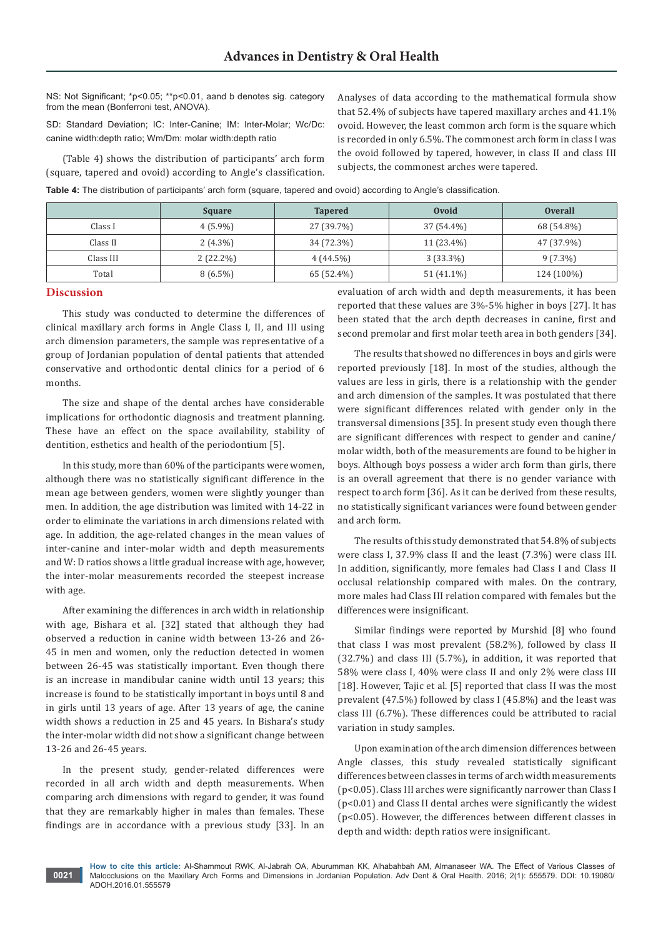NS: Not Significant; \*p<0.05; \*\*p<0.01, aand b denotes sig. category from the mean (Bonferroni test, ANOVA).

SD: Standard Deviation; IC: Inter-Canine; IM: Inter-Molar; Wc/Dc: canine width:depth ratio; Wm/Dm: molar width:depth ratio

(Table 4) shows the distribution of participants' arch form (square, tapered and ovoid) according to Angle's classification. Analyses of data according to the mathematical formula show that 52.4% of subjects have tapered maxillary arches and 41.1% ovoid. However, the least common arch form is the square which is recorded in only 6.5%. The commonest arch form in class I was the ovoid followed by tapered, however, in class II and class III subjects, the commonest arches were tapered.

**Table 4:** The distribution of participants' arch form (square, tapered and ovoid) according to Angle's classification.

|           | <b>Square</b> | <b>Tapered</b> | Ovoid       | <b>Overall</b> |
|-----------|---------------|----------------|-------------|----------------|
| Class I   | $4(5.9\%)$    | 27 (39.7%)     | 37 (54.4%)  | 68 (54.8%)     |
| Class II  | $2(4.3\%)$    | 34 (72.3%)     | 11 (23.4%)  | 47 (37.9%)     |
| Class III | $2(22.2\%)$   | $4(44.5\%)$    | $3(33.3\%)$ | $9(7.3\%)$     |
| Total     | $8(6.5\%)$    | 65 (52.4%)     | 51 (41.1%)  | 124 (100%)     |

#### **Discussion**

This study was conducted to determine the differences of clinical maxillary arch forms in Angle Class I, II, and III using arch dimension parameters, the sample was representative of a group of Jordanian population of dental patients that attended conservative and orthodontic dental clinics for a period of 6 months.

The size and shape of the dental arches have considerable implications for orthodontic diagnosis and treatment planning. These have an effect on the space availability, stability of dentition, esthetics and health of the periodontium [5].

In this study, more than 60% of the participants were women, although there was no statistically significant difference in the mean age between genders, women were slightly younger than men. In addition, the age distribution was limited with 14-22 in order to eliminate the variations in arch dimensions related with age. In addition, the age-related changes in the mean values of inter-canine and inter-molar width and depth measurements and W: D ratios shows a little gradual increase with age, however, the inter-molar measurements recorded the steepest increase with age.

After examining the differences in arch width in relationship with age, Bishara et al. [32] stated that although they had observed a reduction in canine width between 13-26 and 26- 45 in men and women, only the reduction detected in women between 26-45 was statistically important. Even though there is an increase in mandibular canine width until 13 years; this increase is found to be statistically important in boys until 8 and in girls until 13 years of age. After 13 years of age, the canine width shows a reduction in 25 and 45 years. In Bishara's study the inter-molar width did not show a significant change between 13-26 and 26-45 years.

In the present study, gender-related differences were recorded in all arch width and depth measurements. When comparing arch dimensions with regard to gender, it was found that they are remarkably higher in males than females. These findings are in accordance with a previous study [33]. In an

evaluation of arch width and depth measurements, it has been reported that these values are 3%-5% higher in boys [27]. It has been stated that the arch depth decreases in canine, first and second premolar and first molar teeth area in both genders [34].

The results that showed no differences in boys and girls were reported previously [18]. In most of the studies, although the values are less in girls, there is a relationship with the gender and arch dimension of the samples. It was postulated that there were significant differences related with gender only in the transversal dimensions [35]. In present study even though there are significant differences with respect to gender and canine/ molar width, both of the measurements are found to be higher in boys. Although boys possess a wider arch form than girls, there is an overall agreement that there is no gender variance with respect to arch form [36]. As it can be derived from these results, no statistically significant variances were found between gender and arch form.

The results of this study demonstrated that 54.8% of subjects were class I, 37.9% class II and the least (7.3%) were class III. In addition, significantly, more females had Class I and Class II occlusal relationship compared with males. On the contrary, more males had Class III relation compared with females but the differences were insignificant.

Similar findings were reported by Murshid [8] who found that class I was most prevalent (58.2%), followed by class II (32.7%) and class III (5.7%), in addition, it was reported that 58% were class I, 40% were class II and only 2% were class III [18]. However, Tajic et al. [5] reported that class II was the most prevalent (47.5%) followed by class I (45.8%) and the least was class III (6.7%). These differences could be attributed to racial variation in study samples.

Upon examination of the arch dimension differences between Angle classes, this study revealed statistically significant differences between classes in terms of arch width measurements (p<0.05). Class III arches were significantly narrower than Class I (p<0.01) and Class II dental arches were significantly the widest (p<0.05). However, the differences between different classes in depth and width: depth ratios were insignificant.

**How to cite this article:** Al-Shammout RWK, Al-Jabrah OA, Aburumman KK, Alhabahbah AM, Almanaseer WA. The Effect of Various Classes of Malocclusions on the Maxillary Arch Forms and Dimensions in Jordanian Population. Adv Dent & Oral Health. 2016; 2(1): 555579. DOI: [10.19080/](http://dx.doi.org/10.19080/ADOH.2016.01.555579
) [ADOH.2016.01.555579](http://dx.doi.org/10.19080/ADOH.2016.01.555579
)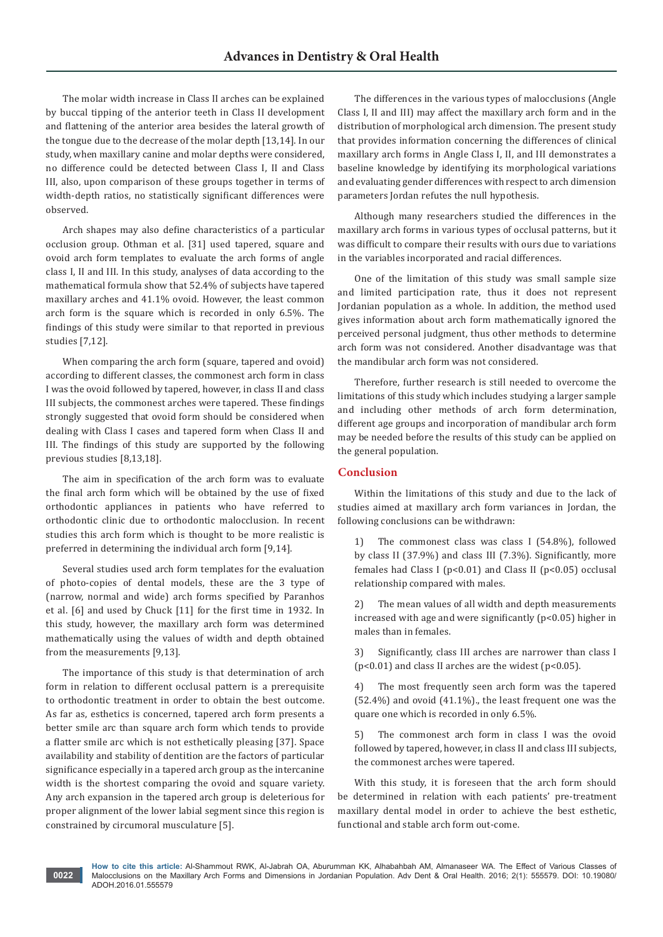The molar width increase in Class II arches can be explained by buccal tipping of the anterior teeth in Class II development and flattening of the anterior area besides the lateral growth of the tongue due to the decrease of the molar depth [13,14]. In our study, when maxillary canine and molar depths were considered, no difference could be detected between Class I, II and Class III, also, upon comparison of these groups together in terms of width-depth ratios, no statistically significant differences were observed.

Arch shapes may also define characteristics of a particular occlusion group. Othman et al. [31] used tapered, square and ovoid arch form templates to evaluate the arch forms of angle class I, II and III. In this study, analyses of data according to the mathematical formula show that 52.4% of subjects have tapered maxillary arches and 41.1% ovoid. However, the least common arch form is the square which is recorded in only 6.5%. The findings of this study were similar to that reported in previous studies [7,12].

When comparing the arch form (square, tapered and ovoid) according to different classes, the commonest arch form in class I was the ovoid followed by tapered, however, in class II and class III subjects, the commonest arches were tapered. These findings strongly suggested that ovoid form should be considered when dealing with Class I cases and tapered form when Class II and III. The findings of this study are supported by the following previous studies [8,13,18].

The aim in specification of the arch form was to evaluate the final arch form which will be obtained by the use of fixed orthodontic appliances in patients who have referred to orthodontic clinic due to orthodontic malocclusion. In recent studies this arch form which is thought to be more realistic is preferred in determining the individual arch form [9,14].

Several studies used arch form templates for the evaluation of photo-copies of dental models, these are the 3 type of (narrow, normal and wide) arch forms specified by Paranhos et al. [6] and used by Chuck [11] for the first time in 1932. In this study, however, the maxillary arch form was determined mathematically using the values of width and depth obtained from the measurements [9,13].

The importance of this study is that determination of arch form in relation to different occlusal pattern is a prerequisite to orthodontic treatment in order to obtain the best outcome. As far as, esthetics is concerned, tapered arch form presents a better smile arc than square arch form which tends to provide a flatter smile arc which is not esthetically pleasing [37]. Space availability and stability of dentition are the factors of particular significance especially in a tapered arch group as the intercanine width is the shortest comparing the ovoid and square variety. Any arch expansion in the tapered arch group is deleterious for proper alignment of the lower labial segment since this region is constrained by circumoral musculature [5].

**0022**

The differences in the various types of malocclusions (Angle Class I, II and III) may affect the maxillary arch form and in the distribution of morphological arch dimension. The present study that provides information concerning the differences of clinical maxillary arch forms in Angle Class I, II, and III demonstrates a baseline knowledge by identifying its morphological variations and evaluating gender differences with respect to arch dimension parameters Jordan refutes the null hypothesis.

Although many researchers studied the differences in the maxillary arch forms in various types of occlusal patterns, but it was difficult to compare their results with ours due to variations in the variables incorporated and racial differences.

One of the limitation of this study was small sample size and limited participation rate, thus it does not represent Jordanian population as a whole. In addition, the method used gives information about arch form mathematically ignored the perceived personal judgment, thus other methods to determine arch form was not considered. Another disadvantage was that the mandibular arch form was not considered.

Therefore, further research is still needed to overcome the limitations of this study which includes studying a larger sample and including other methods of arch form determination, different age groups and incorporation of mandibular arch form may be needed before the results of this study can be applied on the general population.

## **Conclusion**

Within the limitations of this study and due to the lack of studies aimed at maxillary arch form variances in Jordan, the following conclusions can be withdrawn:

1) The commonest class was class I (54.8%), followed by class II (37.9%) and class III (7.3%). Significantly, more females had Class I (p<0.01) and Class II (p<0.05) occlusal relationship compared with males.

2) The mean values of all width and depth measurements increased with age and were significantly  $(p<0.05)$  higher in males than in females.

3) Significantly, class III arches are narrower than class I  $(p<0.01)$  and class II arches are the widest  $(p<0.05)$ .

4) The most frequently seen arch form was the tapered (52.4%) and ovoid (41.1%)., the least frequent one was the quare one which is recorded in only 6.5%.

5) The commonest arch form in class I was the ovoid followed by tapered, however, in class II and class III subjects, the commonest arches were tapered.

With this study, it is foreseen that the arch form should be determined in relation with each patients' pre-treatment maxillary dental model in order to achieve the best esthetic, functional and stable arch form out-come.